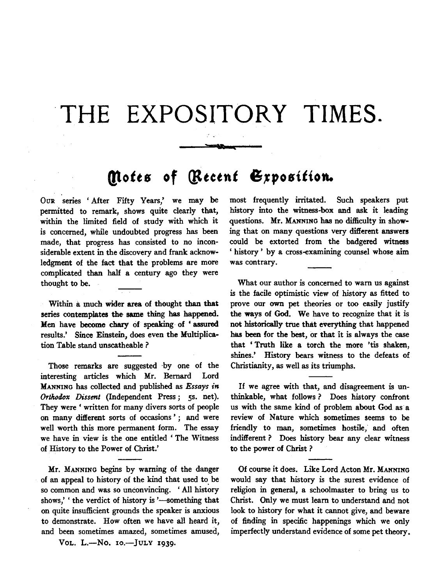## **THE EXPOSITORY TIMES.**

## **Motes of (Recent Exposition.**

OuR series 'After Fifty Years,' we may be permitted to remark, shows quite clearly that, within the limited field of study with which it is concerned, while undoubted progress has been made, that progress has consisted to no inconsiderable extent in the discovery and frank acknowledgment of the fact that the problems are more complicated than half a century ago they were thought to be.

Within a much wider area of thought than that series contemplates the same thing has happened. Hen have become chary of speaking of ' assured results.' Since Einstein, does even the Multiplication Table stand unscatheable ?

Those remarks are suggested by one of the interesting articles which Mr. Bernard Lord MANNING has collected and published as *Essays in Orthodox Dissent* (Independent Press; 5s. net). They were ' written for many divers sorts of people on many different sorts of occasions'; and were well worth this more permanent form. The essay we have in view is the one entitled 'The Witness of History to the Power of Christ.'

Mr. MANNING begins by warning of the danger of an appeal to history of the kind that used to be so common and was so unconvincing. ' All history shows,' ' the verdict of history is '-something that on quite insufficient grounds the speaker is anxious to demonstrate. How often we have all beard it, and been sometimes amazed, sometimes amused,

Vol. L.-No. 10.-JULY 1939.

most frequently irritated. Such speakers put history into the witness-box and ask it leading questions. Mr. MANNING has no difficulty in showing that on many questions very different answers could be extorted from the badgered witness ' history ' by a cross-examining counsel whose aim was contrary.

What our author is concerned to warn us against is the facile optimistic view of history as fitted to prove our own pet theories or too easily justify the ways of God. We have to recognize that it is not historically true that everything that happened has been for the best, or that it is always the case that 'Truth like a torch the more 'tis shaken, shines.' History bears witness to the defeats of Christianity, as well as its triumphs.

If we agree with that, and disagreement is unthinkable, what follows ? Does history confront us with the same kind of problem about God as a review of Nature which sometimes seems to be friendly to man, sometimes hostile, and often indifferent ? Does history bear any clear witness to the power of Christ ?

Of course it does. Like Lord Acton Mr. MANNING would say that history is the surest evidence of religion in general, a schoolmaster to bring us to Christ. Only we must learn to understand and not look to history for what it cannot give, and beware of finding in specific happenings which we only imperfectly understand evidence of some pet theory.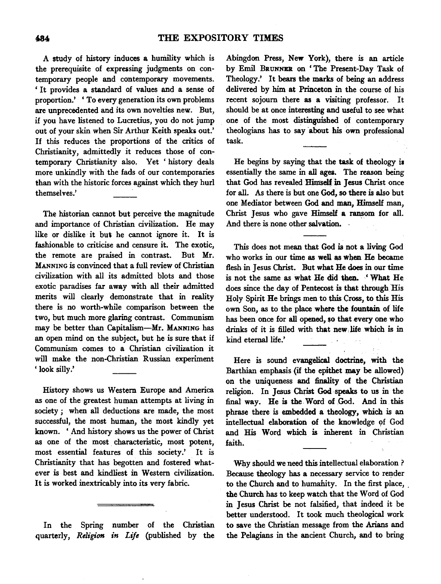A study of history induces a humility which is the prerequisite of expressing judgments on contemporary people and contemporary movements. ' It provides a standard of values and a sense of proportion.' ' To every generation its own problems are unprecedented and its own novelties new. But, if you have listened to Lucretius, you do not jump out of your skin when Sir Arthur Keith speaks out.' If this reduces the proportions of the critics of Christianity, admittedly it reduces those of contemporary Christianity also. Yet ' history deals more unkindly with the fads of our contemporaries than with the historic forces against which they hurl themselves.'

The historian cannot but perceive the magnitude and importance of Christian civilization. He may like or dislike it but he cannot ignore it. It is fashionable to criticise and censure it. The exotic, the remote are praised in contrast. But Mr. MANNING is convinced that a full review of Christian civilization with all its admitted blots and those exotic paradises far away with all their admitted merits will clearly demonstrate that in reality there is no worth-while comparison between the two, but much more glaring contrast. Communism may be better than Capitalism-Mr. MANNING has an open mind on the subject, but he is sure that if Communism comes to a Christian civilization it will make the non-Christian Russian experiment 'look silly.'

History shows us Western Europe and America as one of the greatest human attempts at living in society ; when all deductions are made, the most successful, the most human, the most kindly yet known. ' And history shows us the power of Christ as one of the most characteristic, most potent, most essential features of this society.' It is Christianity that has begotten and fostered whatever is best and kindliest in Western civilization. It is worked inextricably into its very fabric.

In the Spring number of the Christian quarterly, *Religion in Life* (published by the

Abingdon Press, New York), there is an article by Emil BRUNNER on 'The Present-Day Task of Theology.' It bears the marks of being an address delivered by him at Princeton in the course of his recent sojourn there as a visiting professor. It should be at once interesting and useful to see what one of the most distinguished of contemporary theologians has to say about his own professional task.

He begins by saying that the task of theology ia essentially the same in all ages. The reason being that God has revealed Himself in Jesus Christ once for all. As there is but one God, so there is also but one Mediator between God and man, Himself man, Christ Jesus who gave Himself a ransom for all. And there is none other salvation.

This does not mean that God is not a living God who works in our time as well as when He became flesh in Jesus Christ. But what He does in our time is not the same as what He did then. ' What He does since the day of Pentecost is that through His Holy Spirit He brings men to this Cross, to this His own Son, as to the place where the fountain of life has been once for all opened, so that every one who drinks of it is filled with that new life which is in kind eternal life.'

Here is sound evangelical doctrine, with the Barthian emphasis (if the epithet may be allowed) on the uniqueness and finality of the Christian religion. In Jesus Christ God speaks to us in the final way. He is the Word of God. And in this phrase there is embedded a theology, which is an intellectual elaboration of the knowledge of God and His Word which is inherent in Christian faith.

Why should we need this intellectual elaboration ? Because theology has a necessary service to render to the Church and to humanity. In the first place, the Church has to keep watch that the Word of God in Jesus Christ be not falsified, that indeed it be better understood. It took much theological work to save the Christian message from the Arians and the Pelagians in the ancient Church, and to bring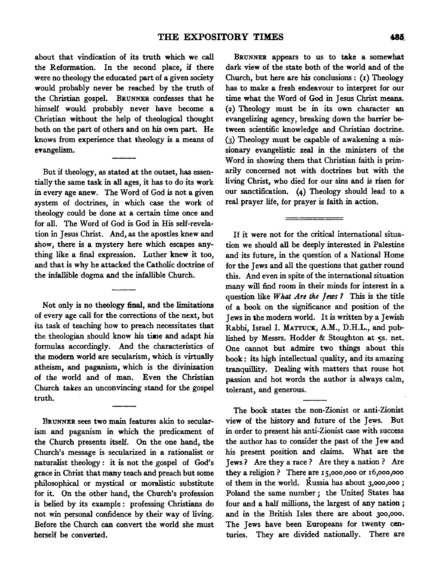about that vindication of its truth which we call the Reformation. In the second place, if there were no theology the educated part of a given society would probably never be reached by the truth of the Christian gospel. BRUNNER confesses that he himself would probably never have become a Christian without the help of theological thought both on the part of others and on his own part. He knows from experience that theology is a means of evangelism.

But if theology, as stated at the outset, has essentially the same task in all ages, it has to do its work in every age anew. The Word of God is not a given system of doctrines, in which case the work of theology could be done at a certain time once and for all. The Word of God is God in His self-revelation in Jesus Christ. And, as the apostles knew and show, there is a mystery here which escapes anything like a final expression. Luther knew it too, and that is why he attacked the Catholic doctrine of the infallible dogma and the infallible Church.

Not only is no theology final, and the limitations of every age call for the corrections of the next, but its task of teaching how to preach necessitates that the theologian should know his time and adapt his formulas accordingly. And the characteristics of the modem world are secularism, which is virtually atheism, and paganism, which is the divinization of the world and of man. Even the Christian Church takes an unconvincing stand for the gospel truth.

BRUNNER sees two main features akin to secularism and paganism in which the predicament of the Church presents itself. On the one hand, the Church's message is secularized in a rationalist or naturalist theology : it is not the gospel of God's grace in Christ that many teach and preach but some philosophical or mystical or moralistic substitute for it. On the other hand, the Church's profession is belied by its example : professing Christians do not win personal confidence by their way of living. Before the Church can convert the world she must herself be converted.

BRUNNER appears to us to take a somewhat dark view of the state both of the world and of the Church, but here are his conclusions: (r) Theology has to make a fresh endeavour to interpret for our time what the Word of God in Jesus Christ means. (2) Theology must be in its own character an evangelizing agency, breaking down the barrier between scientific knowledge and Christian doctrine. (3) Theology must be capable of awakening a missionary evangelistic zeal in the ministers of the Word in showing them that Christian faith is primarily concerned not with doctrines but with the living Christ, who died for our sins and is risen for· our sanctification. **(4)** Theology should lead to a real prayer life, for prayer is faith in action.

If it were not for the critical international situation we should all be deeply interested in Palestine and its future, in the question of a National Home for the Jews and all the questions that gather round this. And even in spite of the international situation many will find room in their minds for interest in a question like *What Are the Jews?* This is the title of a book on the significance and position of the Jews in the modem world. It is written by a Jewish Rabbi, Israel I. MATTUCK, A.M., D.H.L., and published by Messrs. Hodder & Stoughton at  $\varsigma$ s. net. One cannot but admire two things about this book: its high intellectual quality, and its amazing tranquillity. Dealing with matters that rouse hot passion and hot words the author is always calm, tolerant, and generous.

The book states the non-Zionist or anti-Zionist view of the history and future of the Jews. But in order to present his anti-Zionist case with sUccess the author has to consider the past of the Jew and his present position and claims. What are the Jews ? Are they a race ? Are they a nation ? Are they a religion? There are rs,ooo,ooo or r6,ooo,ooo of them in the world. Russia has about  $3,000,000$ ; Poland the same number; the United States has four and a half millions, the largest of any nation ; and in the British Isles there are about 3oo,ooo. The Jews have been Europeans for twenty centuries. They are divided nationally. There are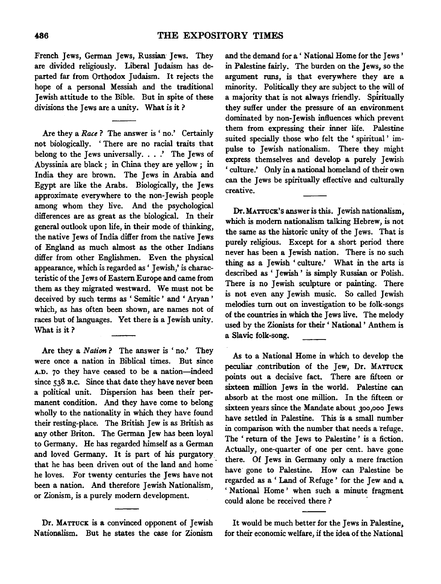French Jews, German Jews, Russian Jews. They are divided religiously. Liberal Judaism has departed far from Orthodox Judaism. It rejects the hope of a personal Messiah and the traditional Jewish attitude to the Bible. But in spite of these divisions the Jews are a unity. What is it ?

Are they a *Race* ? The answer is ' no.' Certainly not biologically. ' There are no racial traits that belong to the Jews universally. . . .' The Jews of Abyssinia are black; in China they are yellow; in India they are brown. The Jews in Arabia and Egypt are like the Arabs. Biologically, the Jews approximate everywhere to the non-Jewish people among whom they live. And the psychological differences are as great as the biological. In their general outlook upon life, in their mode of thinking, the native Jews of India differ from the native Jews of England as much almost as the other Indians differ from other Englishmen. Even the physical appearance, which is regarded as ' Jewish,' is characteristic of the Jews of Eastern Europe and came from them as they migrated westward. We must not be deceived by such terms as ' Semitic ' and ' Aryan ' which, as has often been shown, are names not of races but of languages. Yet there is a Jewish unity. What is it?

Are they a *Nation* ? The answer is 'no.' They were once a nation in Biblical times. But since A.D. 70 they have ceased to be a nation-indeed since 538 B.C. Since that date they have never been a political unit. Dispersion has been their permanent condition. And they have come to belong wholly to the nationality in which they have found their resting-place. The British Jew is as British as any other Briton. The German Jew has been loyal to Germany. He has regarded himself as a German and loved Germany. It is part of his purgatory that he has been driven out of the land and home he loves. For twenty centuries the Jews have not been a nation. And therefore Jewish Nationalism or Zionism, is a purely modern development. '

Dr. MATTUCK is a convinced opponent of Jewish Nationalism. But he states the case for Zionism and the demand for a ' National Home for the Jews ' in Palestine fairly. The burden on the Jews, so the argument runs, is that everywhere they are a minority. Politically they are subject to the will of a majority that is not always friendly. Spiritually they suffer under the pressure of an environment dominated by non-Jewish influences which prevent them from expressing their inner life. Palestine suited specially those who felt the ' spiritual ' impulse to Jewish nationalism. There they might express themselves and develop a purely Jewish ' culture.' Only in a national homeland of their own can the Jews be spiritually effective and culturally creative.

Dr. MATTUCK's answer is this. Jewish nationalism. which is modern nationalism talking Hebrew, is not the same as the historic unity of the Jews. That is purely religious. Except for a short period there never has been a Jewish nation. There is no such thing as a Jewish ' culture.' What in the arts is described as ' Jewish ' is simply Russian or Polish. There is no Jewish sculpture or painting. There is not even any Jewish music. So called Jewish melodies turn out on investigation to be folk-songs of the countries in which the Jews live. The melody used by the Zionists for their' National' Anthem is a Slavic folk-song.

As to a National Home in which to develop the peculiar .contribution of the Jew, Dr. MATTUCK points out a decisive fact. There are fifteen or sixteen million Jews in the world. Palestine can absorb at the most one million. In the fifteen or sixteen years since the Mandate about 3oo,ooo Jews have settled in Palestine. This is a small number in comparison with the number that needs a refuge. The ' return of the Jews to Palestine ' is a fiction. Actually, one-quarter of one per cent. have gone there. Of Jews in Germany only a mere fraction have gone to Palestine. How can Palestine be regarded as a ' Land of Refuge ' for the Jew and a. ' National Home ' when such a minute fragment could alone be received there ?

It would be much better for the Jews in Palestine, for their economic welfare, if the idea of the Nationai